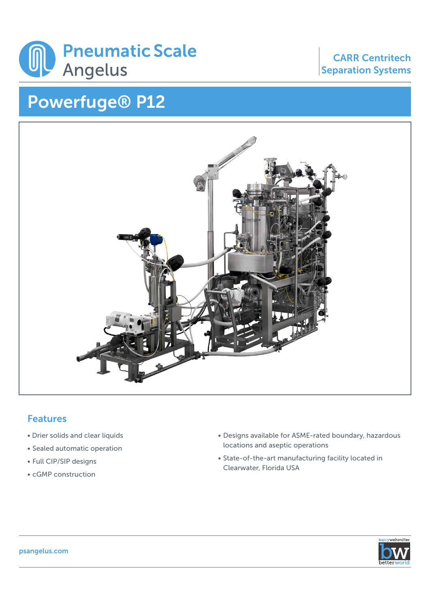

## Powerfuge® P12

## CARR Centritech Separation Systems



## Features

- Drier solids and clear liquids
- Sealed automatic operation
- Full CIP/SIP designs
- cGMP construction
- Designs available for ASME-rated boundary, hazardous locations and aseptic operations
- State-of-the-art manufacturing facility located in Clearwater, Florida USA